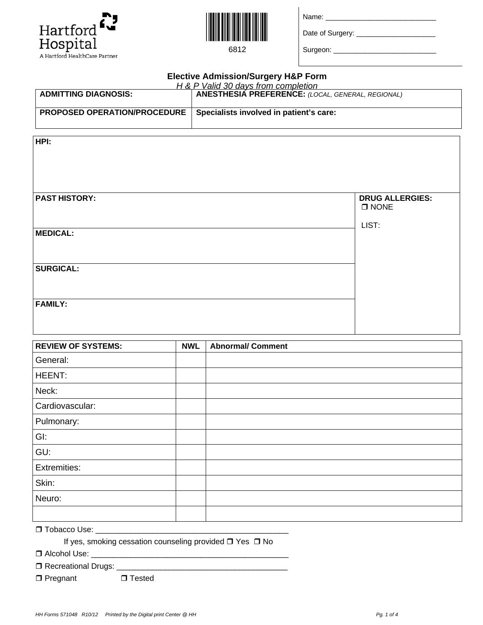



6812

Name: \_\_\_\_\_\_\_\_\_\_\_\_\_\_\_\_\_\_\_\_\_\_\_\_\_\_\_\_

Date of Surgery: \_\_\_\_\_\_\_\_\_\_\_\_\_\_\_\_\_\_\_\_

Surgeon: \_\_\_\_\_\_\_\_\_\_\_\_\_\_\_\_\_\_\_\_\_\_\_\_\_\_

| <b>Elective Admission/Surgery H&amp;P Form</b> |                                                                                            |                                                   |  |  |  |
|------------------------------------------------|--------------------------------------------------------------------------------------------|---------------------------------------------------|--|--|--|
| <b>ADMITTING DIAGNOSIS:</b>                    | H & P Valid 30 days from completion<br>  ANESTHESIA PREFERENCE: (LOCAL, GENERAL, REGIONAL) |                                                   |  |  |  |
| PROPOSED OPERATION/PROCEDURE                   | Specialists involved in patient's care:                                                    |                                                   |  |  |  |
| HPI:                                           |                                                                                            |                                                   |  |  |  |
| <b>PAST HISTORY:</b>                           |                                                                                            | <b>DRUG ALLERGIES:</b><br>$\square$ NONE<br>LIST: |  |  |  |
| <b>MEDICAL:</b>                                |                                                                                            |                                                   |  |  |  |
| <b>SURGICAL:</b>                               |                                                                                            |                                                   |  |  |  |
| <b>FAMILY:</b>                                 |                                                                                            |                                                   |  |  |  |

| <b>REVIEW OF SYSTEMS:</b> | <b>NWL</b> | <b>Abnormal/ Comment</b> |
|---------------------------|------------|--------------------------|
| General:                  |            |                          |
| HEENT:                    |            |                          |
| Neck:                     |            |                          |
| Cardiovascular:           |            |                          |
| Pulmonary:                |            |                          |
| GI:                       |            |                          |
| GU:                       |            |                          |
| Extremities:              |            |                          |
| Skin:                     |            |                          |
| Neuro:                    |            |                          |
|                           |            |                          |

Tobacco Use: \_\_\_\_\_\_\_\_\_\_\_\_\_\_\_\_\_\_\_\_\_\_\_\_\_\_\_\_\_\_\_\_\_\_\_\_\_\_\_\_\_\_\_\_

If yes, smoking cessation counseling provided  $\Box$  Yes  $\Box$  No

Alcohol Use: \_\_\_\_\_\_\_\_\_\_\_\_\_\_\_\_\_\_\_\_\_\_\_\_\_\_\_\_\_\_\_\_\_\_\_\_\_\_\_\_\_\_\_\_\_

Recreational Drugs: \_\_\_\_\_\_\_\_\_\_\_\_\_\_\_\_\_\_\_\_\_\_\_\_\_\_\_\_\_\_\_\_\_\_\_\_\_\_\_

□ Pregnant □ Tested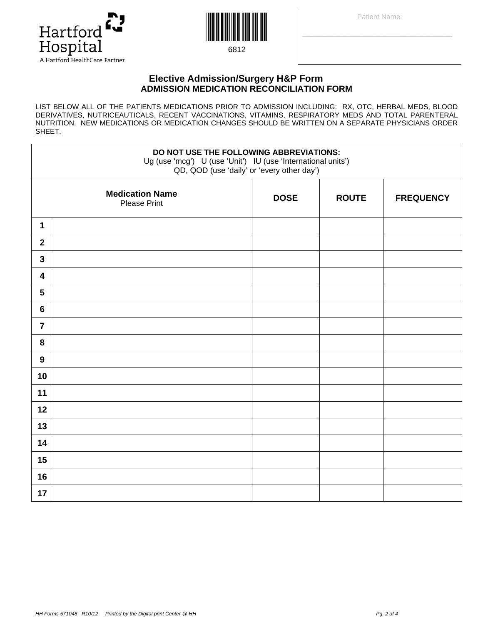



6812

## **Elective Admission/Surgery H&P Form ADMISSION MEDICATION RECONCILIATION FORM**

LIST BELOW ALL OF THE PATIENTS MEDICATIONS PRIOR TO ADMISSION INCLUDING: RX, OTC, HERBAL MEDS, BLOOD DERIVATIVES, NUTRICEAUTICALS, RECENT VACCINATIONS, VITAMINS, RESPIRATORY MEDS AND TOTAL PARENTERAL NUTRITION. NEW MEDICATIONS OR MEDICATION CHANGES SHOULD BE WRITTEN ON A SEPARATE PHYSICIANS ORDER SHEET.

| DO NOT USE THE FOLLOWING ABBREVIATIONS:<br>Ug (use 'mcg') U (use 'Unit') IU (use 'International units')<br>QD, QOD (use 'daily' or 'every other day') |                                               |             |              |                  |  |
|-------------------------------------------------------------------------------------------------------------------------------------------------------|-----------------------------------------------|-------------|--------------|------------------|--|
|                                                                                                                                                       | <b>Medication Name</b><br><b>Please Print</b> | <b>DOSE</b> | <b>ROUTE</b> | <b>FREQUENCY</b> |  |
| 1                                                                                                                                                     |                                               |             |              |                  |  |
| $\boldsymbol{2}$                                                                                                                                      |                                               |             |              |                  |  |
| $\mathbf{3}$                                                                                                                                          |                                               |             |              |                  |  |
| $\overline{\mathbf{4}}$                                                                                                                               |                                               |             |              |                  |  |
| $5\phantom{.0}$                                                                                                                                       |                                               |             |              |                  |  |
| $6\phantom{1}$                                                                                                                                        |                                               |             |              |                  |  |
| $\overline{7}$                                                                                                                                        |                                               |             |              |                  |  |
| 8                                                                                                                                                     |                                               |             |              |                  |  |
| $\boldsymbol{9}$                                                                                                                                      |                                               |             |              |                  |  |
| 10                                                                                                                                                    |                                               |             |              |                  |  |
| 11                                                                                                                                                    |                                               |             |              |                  |  |
| 12                                                                                                                                                    |                                               |             |              |                  |  |
| 13                                                                                                                                                    |                                               |             |              |                  |  |
| 14                                                                                                                                                    |                                               |             |              |                  |  |
| 15                                                                                                                                                    |                                               |             |              |                  |  |
| 16                                                                                                                                                    |                                               |             |              |                  |  |
| 17                                                                                                                                                    |                                               |             |              |                  |  |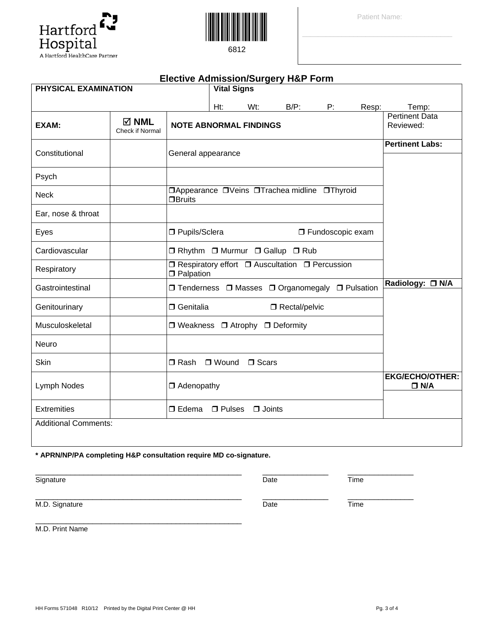Hospital<br>A Hartford HealthCare Partner

Hartford

Q,

| PHYSICAL EXAMINATION        |                                           |                                  | <b>Vital Signs</b> |               |                                                  |                    |       |                                      |
|-----------------------------|-------------------------------------------|----------------------------------|--------------------|---------------|--------------------------------------------------|--------------------|-------|--------------------------------------|
|                             |                                           |                                  | Ht:                | Wt:           | $B/P$ :                                          | P:                 | Resp: | Temp:                                |
| EXAM:                       | $\boxtimes$ NML<br><b>Check if Normal</b> | <b>NOTE ABNORMAL FINDINGS</b>    |                    |               |                                                  |                    |       | <b>Pertinent Data</b><br>Reviewed:   |
| Constitutional              |                                           | General appearance               |                    |               |                                                  |                    |       | <b>Pertinent Labs:</b>               |
| Psych                       |                                           |                                  |                    |               |                                                  |                    |       |                                      |
| <b>Neck</b>                 |                                           | <b>OBruits</b>                   |                    |               | □Appearance □Veins □Trachea midline □Thyroid     |                    |       |                                      |
| Ear, nose & throat          |                                           |                                  |                    |               |                                                  |                    |       |                                      |
| Eyes                        |                                           | □ Pupils/Sclera                  |                    |               |                                                  | □ Fundoscopic exam |       |                                      |
| Cardiovascular              |                                           |                                  |                    |               | □ Rhythm □ Murmur □ Gallup □ Rub                 |                    |       |                                      |
| Respiratory                 |                                           | $\Box$ Palpation                 |                    |               | □ Respiratory effort □ Auscultation □ Percussion |                    |       |                                      |
| Gastrointestinal            |                                           |                                  |                    |               | □ Tenderness □ Masses □ Organomegaly □ Pulsation |                    |       | Radiology: □ N/A                     |
| Genitourinary               |                                           | <b>O</b> Genitalia               |                    |               | Rectal/pelvic                                    |                    |       |                                      |
| Musculoskeletal             |                                           | □ Weakness □ Atrophy □ Deformity |                    |               |                                                  |                    |       |                                      |
| Neuro                       |                                           |                                  |                    |               |                                                  |                    |       |                                      |
| Skin                        |                                           | $\Box$ Rash                      | □ Wound            | $\Box$ Scars  |                                                  |                    |       |                                      |
| Lymph Nodes                 |                                           | $\Box$ Adenopathy                |                    |               |                                                  |                    |       | <b>EKG/ECHO/OTHER:</b><br>$\Box$ N/A |
| <b>Extremities</b>          |                                           | $\Box$ Edema                     | $\Box$ Pulses      | $\Box$ Joints |                                                  |                    |       |                                      |
| <b>Additional Comments:</b> |                                           |                                  |                    |               |                                                  |                    |       |                                      |
|                             |                                           |                                  |                    |               |                                                  |                    |       |                                      |

**\* APRN/NP/PA completing H&P consultation require MD co-signature.** 

\_\_\_\_\_\_\_\_\_\_\_\_\_\_\_\_\_\_\_\_\_\_\_\_\_\_\_\_\_\_\_\_\_\_\_\_\_\_\_\_\_\_\_\_\_\_\_

Signature **Time** 

M.D. Signature Time

M.D. Print Name



**Elective Admission/Surgery H&P Form**





\_\_\_\_\_\_\_\_\_\_\_\_\_\_\_\_\_\_\_\_\_\_\_\_\_\_\_\_\_\_\_\_\_\_\_\_\_\_\_\_\_\_\_\_\_\_\_ \_\_\_\_\_\_\_\_\_\_\_\_\_\_\_ \_\_\_\_\_\_\_\_\_\_\_\_\_\_\_

\_\_\_\_\_\_\_\_\_\_\_\_\_\_\_\_\_\_\_\_\_\_\_\_\_\_\_\_\_\_\_\_\_\_\_\_\_\_\_\_\_\_\_\_\_\_\_ \_\_\_\_\_\_\_\_\_\_\_\_\_\_\_ \_\_\_\_\_\_\_\_\_\_\_\_\_\_\_